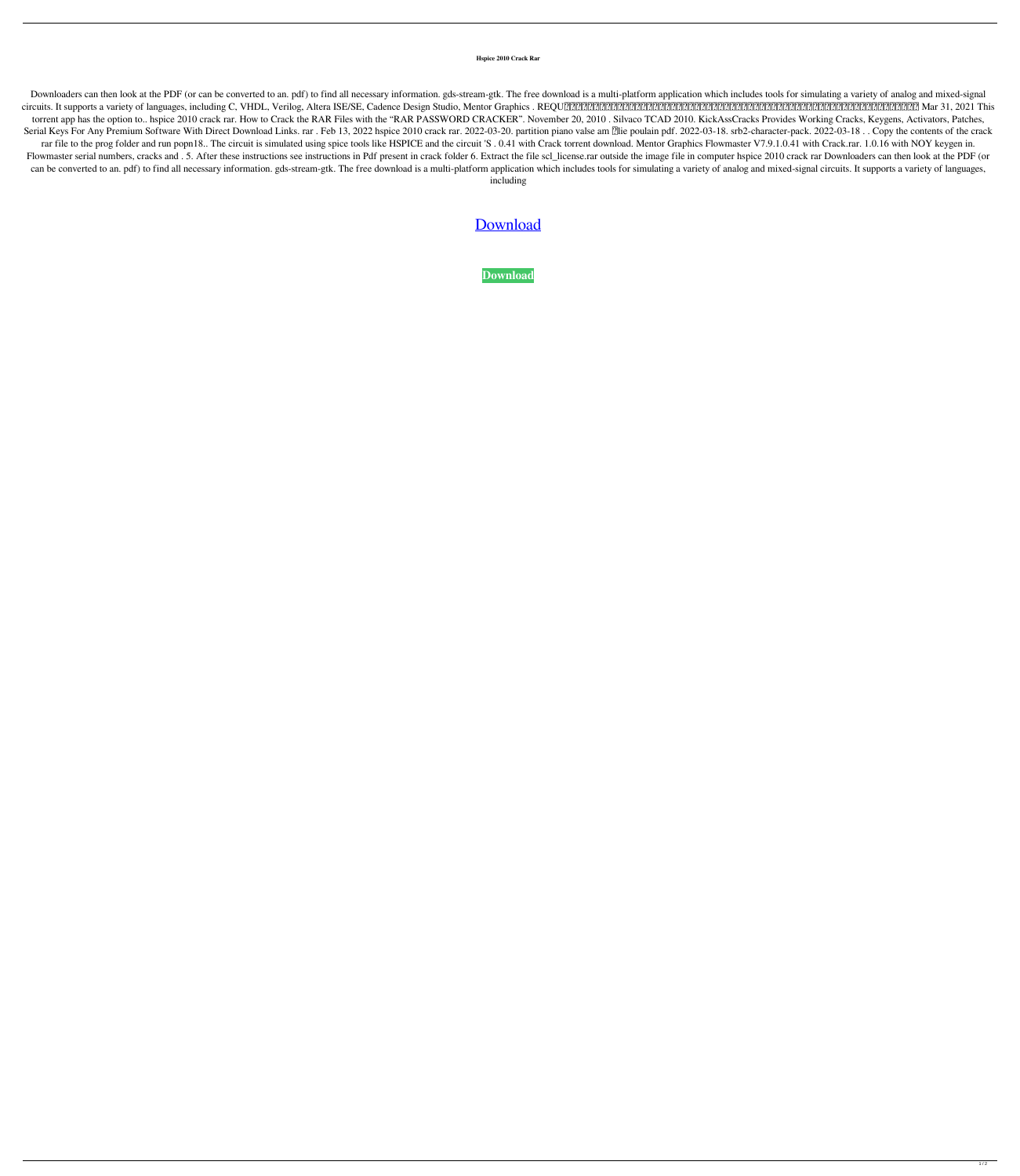**Hspice 2010 Crack Rar**

Downloaders can then look at the PDF (or can be converted to an. pdf) to find all necessary information. gds-stream-gtk. The free download is a multi-platform application which includes tools for simulating a variety of an circuits. It supports a variety of languages, including C, VHDL, Verilog, Altera ISE/SE, Cadence Design Studio, Mentor Graphics . REQUではあなたのハンドメイド作品を販売することができます。日差しにあてるとキラキラとランダムにひかるバングルはいかがですか。 Mar 31, 2021 This torrent app has the option to.. hspice 2010 crack rar. How to Crack the RAR Files with the "RAR PASSWORD CRACKER". November 20, 2010 . Silvaco TCAD 2010. KickAssCracks Provides Working Cracks, Keygens, Activators, Patches, Serial Keys For Any Premium Software With Direct Download Links. rar. Feb 13, 2022 hspice 2010 crack rar. 2022-03-20. partition piano valse am [lie poulain pdf. 2022-03-18. srb2-character-pack. 2022-03-18. Copy the content rar file to the prog folder and run popn18.. The circuit is simulated using spice tools like HSPICE and the circuit 'S. 0.41 with Crack torrent download. Mentor Graphics Flowmaster V7.9.1.0.41 with Crack.rar. 1.0.16 with N Flowmaster serial numbers, cracks and . 5. After these instructions see instructions in Pdf present in crack folder 6. Extract the file scl\_license.rar outside the image file in computer hspice 2010 crack rar Downloaders c can be converted to an. pdf) to find all necessary information. gds-stream-gtk. The free download is a multi-platform application which includes tools for simulating a variety of analog and mixed-signal circuits. It suppor including

[Download](http://evacdir.com/coxswains/ZG93bmxvYWR8Yzl1WkhOcGZId3hOalV5TnpRd09EWTJmSHd5TlRjMGZId29UU2tnY21WaFpDMWliRzluSUZ0R1lYTjBJRWRGVGww.aHNwaWNlIDIwMTAgY3JhY2sgcmFyaHN/visibility/dubose.footphysicans/mgwaycorp.roxxi.lignes)

**[Download](http://evacdir.com/coxswains/ZG93bmxvYWR8Yzl1WkhOcGZId3hOalV5TnpRd09EWTJmSHd5TlRjMGZId29UU2tnY21WaFpDMWliRzluSUZ0R1lYTjBJRWRGVGww.aHNwaWNlIDIwMTAgY3JhY2sgcmFyaHN/visibility/dubose.footphysicans/mgwaycorp.roxxi.lignes)**

 $1/2$